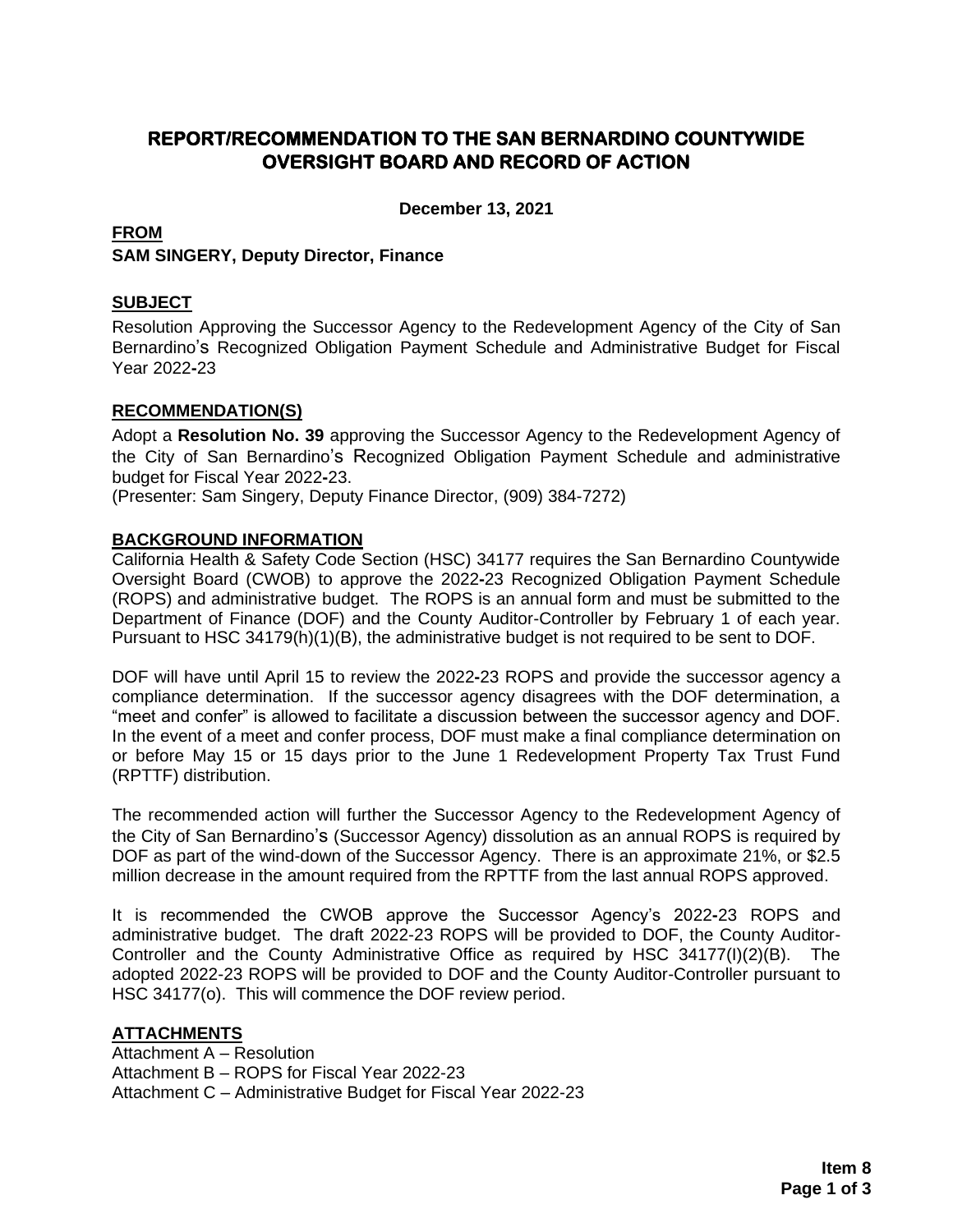# **REPORT/RECOMMENDATION TO THE SAN BERNARDINO COUNTYWIDE OVERSIGHT BOARD AND RECORD OF ACTION**

**December 13, 2021**

## **FROM**

**SAM SINGERY, Deputy Director, Finance**

## **SUBJECT**

Resolution Approving the Successor Agency to the Redevelopment Agency of the City of San Bernardino's Recognized Obligation Payment Schedule and Administrative Budget for Fiscal Year 2022**-**23

## **RECOMMENDATION(S)**

Adopt a **Resolution No. 39** approving the Successor Agency to the Redevelopment Agency of the City of San Bernardino's Recognized Obligation Payment Schedule and administrative budget for Fiscal Year 2022**-**23.

(Presenter: Sam Singery, Deputy Finance Director, (909) 384-7272)

## **BACKGROUND INFORMATION**

California Health & Safety Code Section (HSC) 34177 requires the San Bernardino Countywide Oversight Board (CWOB) to approve the 2022**-**23 Recognized Obligation Payment Schedule (ROPS) and administrative budget. The ROPS is an annual form and must be submitted to the Department of Finance (DOF) and the County Auditor-Controller by February 1 of each year. Pursuant to HSC 34179(h)(1)(B), the administrative budget is not required to be sent to DOF.

DOF will have until April 15 to review the 2022**-**23 ROPS and provide the successor agency a compliance determination. If the successor agency disagrees with the DOF determination, a "meet and confer" is allowed to facilitate a discussion between the successor agency and DOF. In the event of a meet and confer process, DOF must make a final compliance determination on or before May 15 or 15 days prior to the June 1 Redevelopment Property Tax Trust Fund (RPTTF) distribution.

The recommended action will further the Successor Agency to the Redevelopment Agency of the City of San Bernardino's (Successor Agency) dissolution as an annual ROPS is required by DOF as part of the wind-down of the Successor Agency. There is an approximate 21%, or \$2.5 million decrease in the amount required from the RPTTF from the last annual ROPS approved.

It is recommended the CWOB approve the Successor Agency's 2022**-**23 ROPS and administrative budget. The draft 2022-23 ROPS will be provided to DOF, the County Auditor-Controller and the County Administrative Office as required by HSC 34177(I)(2)(B). The adopted 2022-23 ROPS will be provided to DOF and the County Auditor-Controller pursuant to HSC 34177(o). This will commence the DOF review period.

# **ATTACHMENTS**

Attachment A – Resolution Attachment B – ROPS for Fiscal Year 2022-23 Attachment C – Administrative Budget for Fiscal Year 2022-23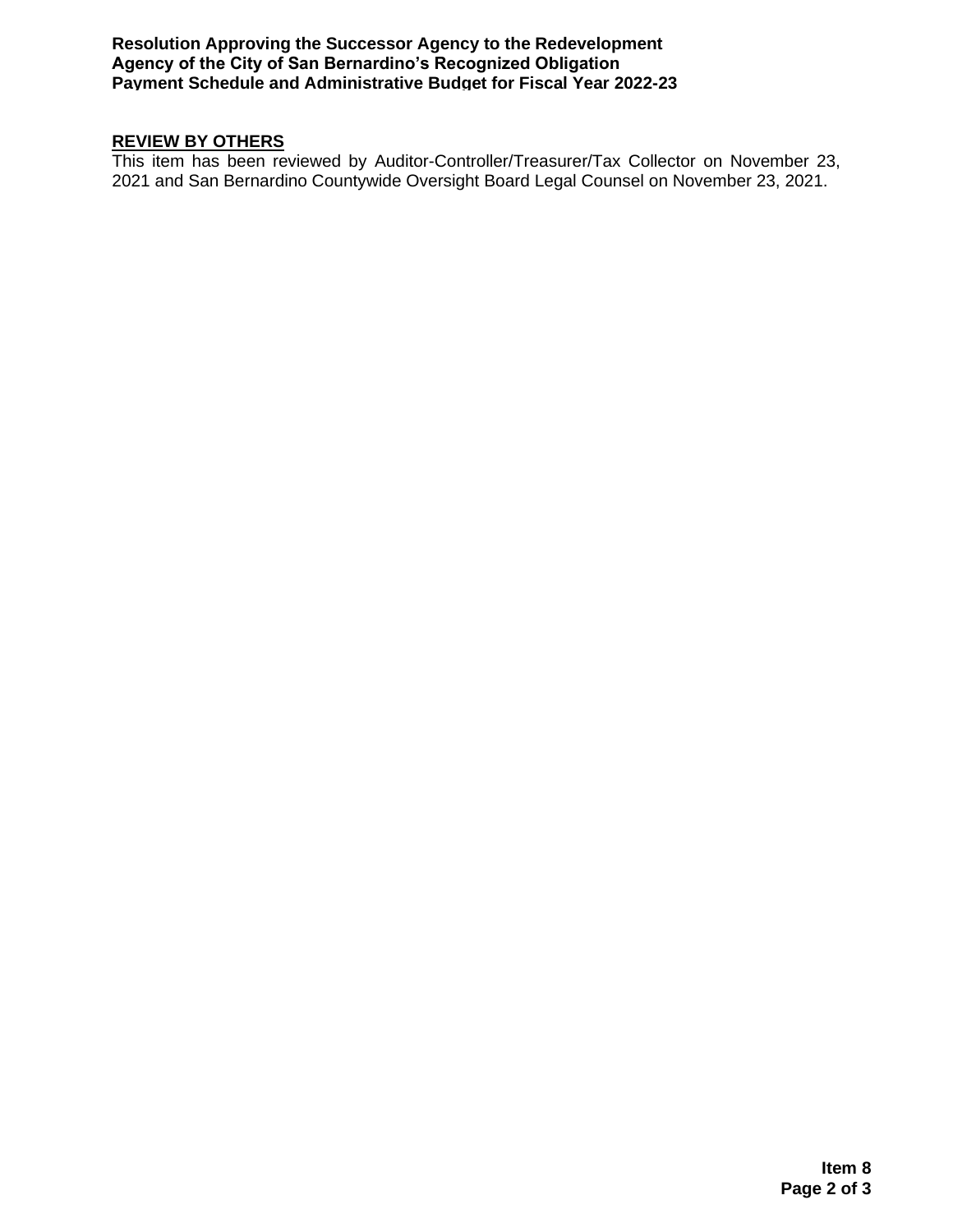**Resolution Approving the Successor Agency to the Redevelopment Agency of the City of San Bernardino's Recognized Obligation Payment Schedule and Administrative Budget for Fiscal Year 2022-23**

# **REVIEW BY OTHERS**

This item has been reviewed by Auditor-Controller/Treasurer/Tax Collector on November 23, 2021 and San Bernardino Countywide Oversight Board Legal Counsel on November 23, 2021.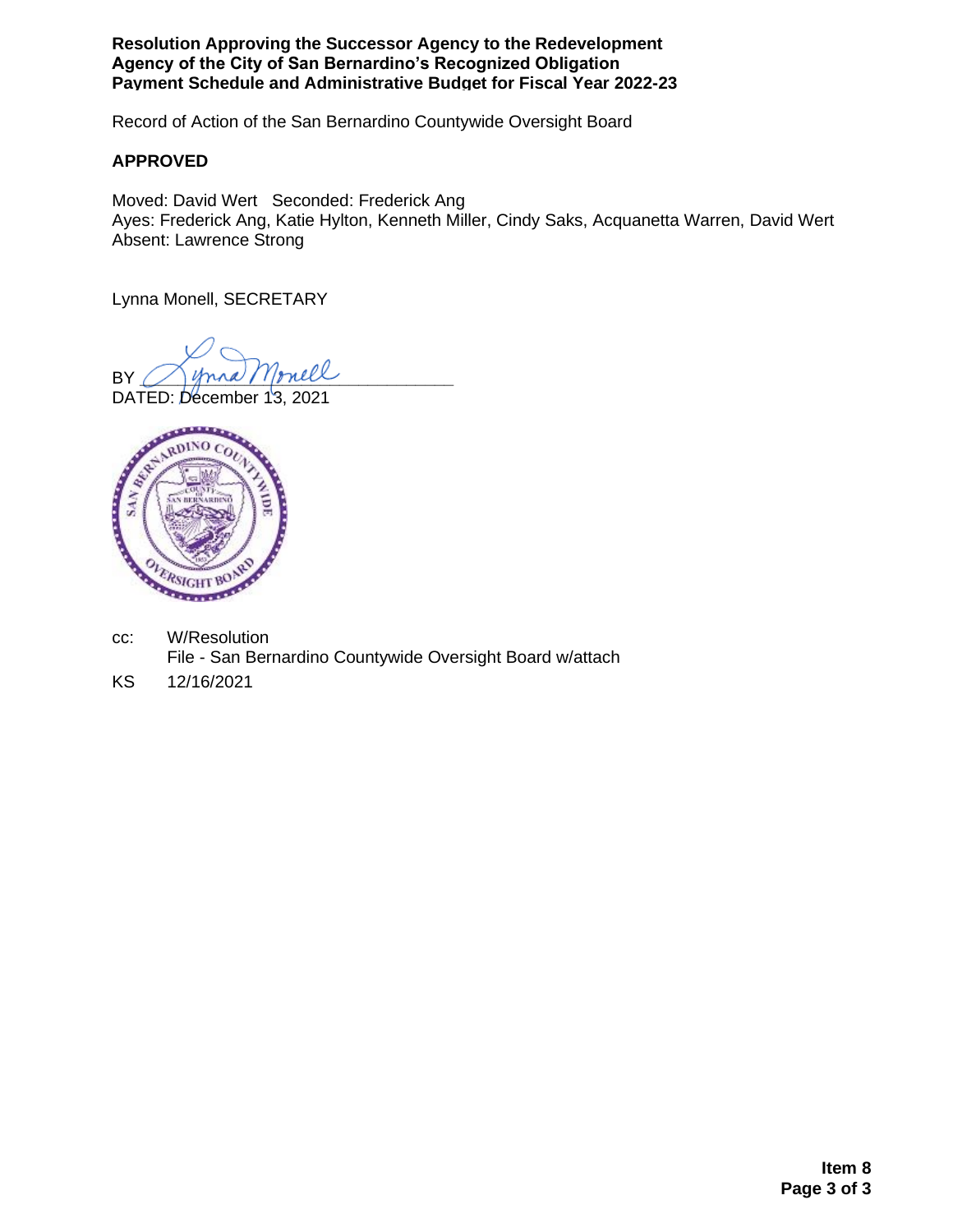**Resolution Approving the Successor Agency to the Redevelopment Agency of the City of San Bernardino's Recognized Obligation Payment Schedule and Administrative Budget for Fiscal Year 2022-23**

Record of Action of the San Bernardino Countywide Oversight Board

## **APPROVED**

Moved: David Wert Seconded: Frederick Ang Ayes: Frederick Ang, Katie Hylton, Kenneth Miller, Cindy Saks, Acquanetta Warren, David Wert Absent: Lawrence Strong

Lynna Monell, SECRETARY

BY Mona Monell

DATED: December 13, 2021



- cc: W/Resolution File - San Bernardino Countywide Oversight Board w/attach
- KS 12/16/2021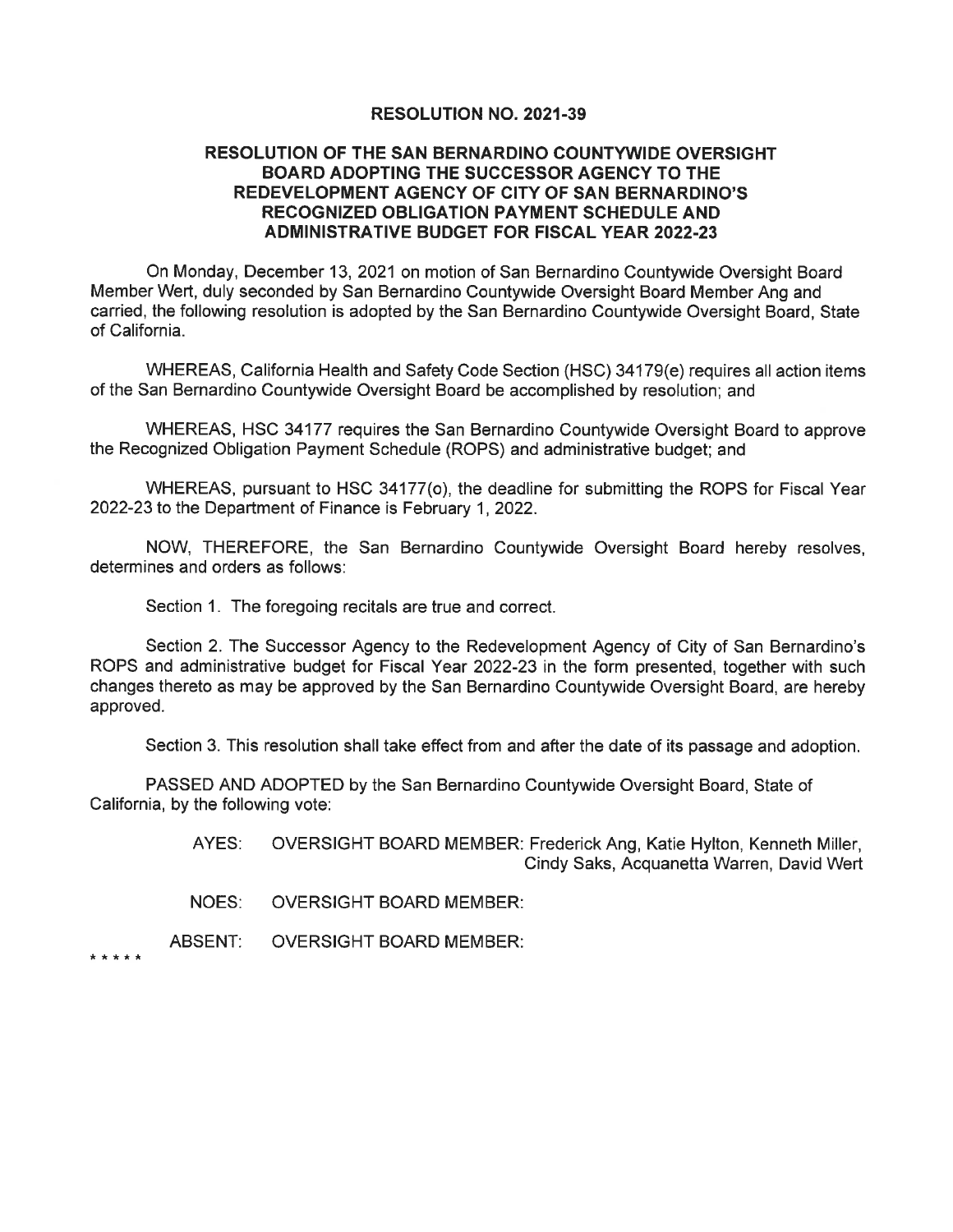#### **RESOLUTION NO. 2021-39**

#### **RESOLUTION OF THE SAN BERNARDINO COUNTYWIDE OVERSIGHT BOARD ADOPTING THE SUCCESSOR AGENCY TO THE** REDEVELOPMENT AGENCY OF CITY OF SAN BERNARDINO'S **RECOGNIZED OBLIGATION PAYMENT SCHEDULE AND ADMINISTRATIVE BUDGET FOR FISCAL YEAR 2022-23**

On Monday, December 13, 2021 on motion of San Bernardino Countywide Oversight Board Member Wert, duly seconded by San Bernardino Countywide Oversight Board Member Ang and carried, the following resolution is adopted by the San Bernardino Countywide Oversight Board, State of California.

WHEREAS, California Health and Safety Code Section (HSC) 34179(e) requires all action items of the San Bernardino Countywide Oversight Board be accomplished by resolution; and

WHEREAS, HSC 34177 requires the San Bernardino Countywide Oversight Board to approve the Recognized Obligation Payment Schedule (ROPS) and administrative budget; and

WHEREAS, pursuant to HSC 34177(o), the deadline for submitting the ROPS for Fiscal Year 2022-23 to the Department of Finance is February 1, 2022.

NOW, THEREFORE, the San Bernardino Countywide Oversight Board hereby resolves, determines and orders as follows:

Section 1. The foregoing recitals are true and correct.

Section 2. The Successor Agency to the Redevelopment Agency of City of San Bernardino's ROPS and administrative budget for Fiscal Year 2022-23 in the form presented, together with such changes thereto as may be approved by the San Bernardino Countywide Oversight Board, are hereby approved.

Section 3. This resolution shall take effect from and after the date of its passage and adoption.

PASSED AND ADOPTED by the San Bernardino Countywide Oversight Board, State of California, by the following vote:

> AYES: OVERSIGHT BOARD MEMBER: Frederick Ang, Katie Hylton, Kenneth Miller, Cindy Saks, Acquanetta Warren, David Wert

NOES: **OVERSIGHT BOARD MEMBER:** 

ABSENT: **OVERSIGHT BOARD MEMBER:** 

\* \* \* \* \*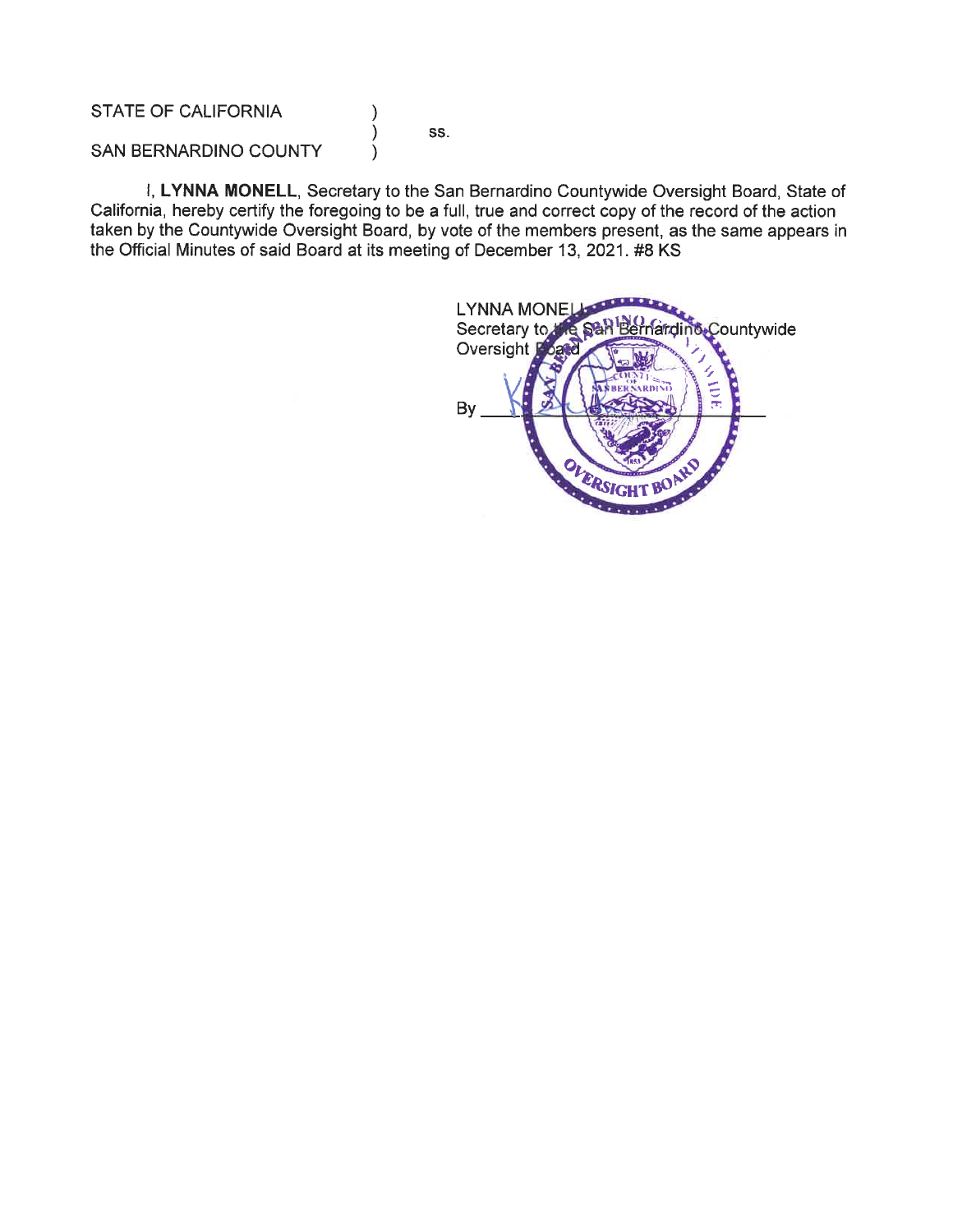**STATE OF CALIFORNIA** 

SS.

**SAN BERNARDINO COUNTY** 

I, LYNNA MONELL, Secretary to the San Bernardino Countywide Oversight Board, State of California, hereby certify the foregoing to be a full, true and correct copy of the record of the action taken by the Countywide Oversight Board, by vote of the members present, as the same appears in the Official Minutes of said Board at its meeting of December 13, 2021. #8 KS

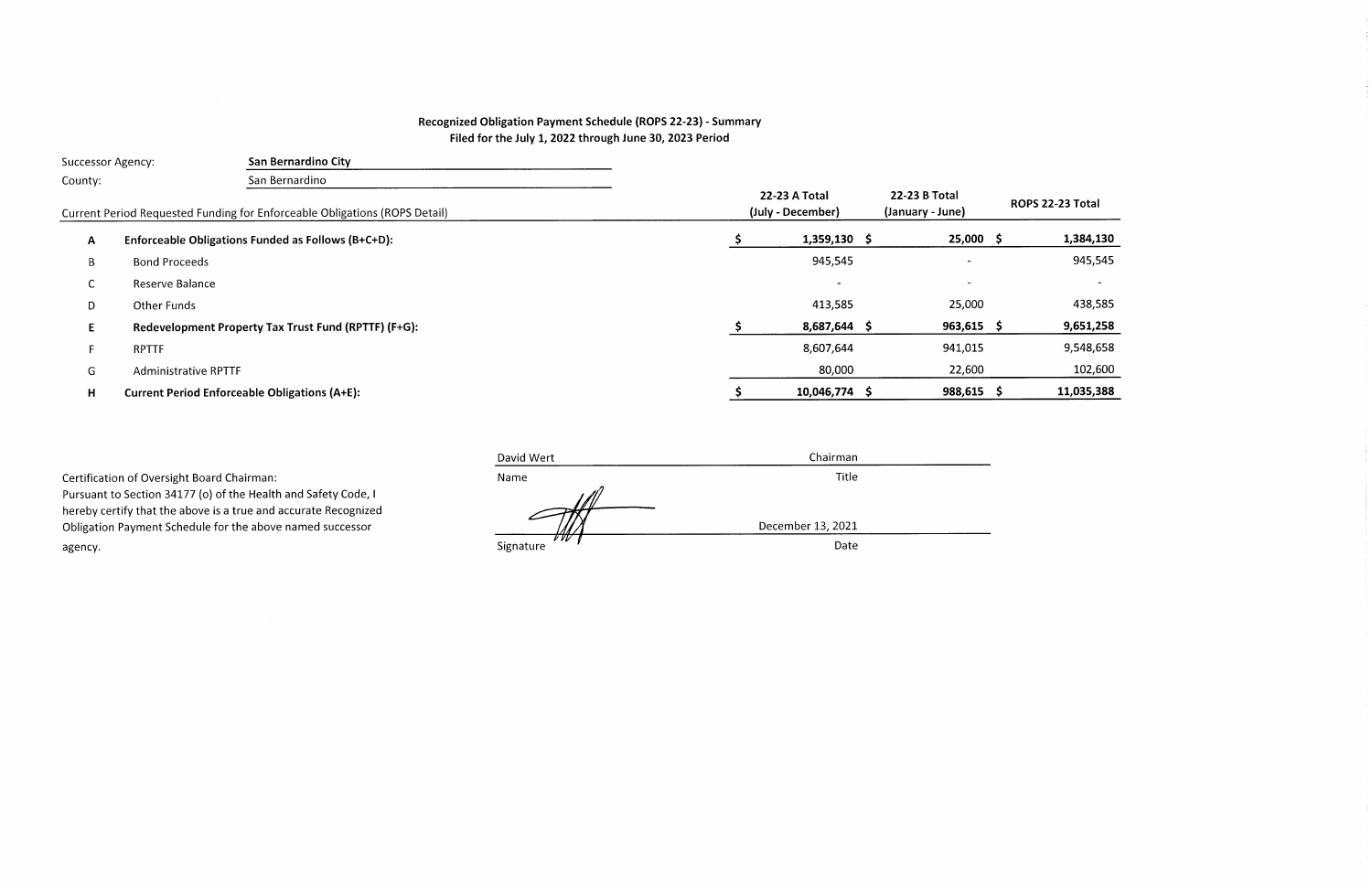# Recognized Obligation Payment Schedule (ROPS 22-23) - Summary Filed for the July 1, 2022 through June 30, 2023 Period

|                                                                            | <b>Successor Agency:</b>    | San Bernardino City                                  |                                   |                  |                          |            |
|----------------------------------------------------------------------------|-----------------------------|------------------------------------------------------|-----------------------------------|------------------|--------------------------|------------|
| County:                                                                    |                             | San Bernardino                                       |                                   |                  |                          |            |
| Current Period Requested Funding for Enforceable Obligations (ROPS Detail) |                             |                                                      | 22-23 B Total<br>(January - June) | ROPS 22-23 Total |                          |            |
| A                                                                          |                             | Enforceable Obligations Funded as Follows (B+C+D):   |                                   | $1,359,130$ \$   | $25,000 \leq$            | 1,384,130  |
| B                                                                          | <b>Bond Proceeds</b>        |                                                      |                                   | 945,545          | $\overline{\phantom{a}}$ | 945,545    |
| $\sim$<br>◡                                                                | Reserve Balance             |                                                      |                                   |                  |                          |            |
| D                                                                          | Other Funds                 |                                                      |                                   | 413,585          | 25,000                   | 438,585    |
|                                                                            |                             | Redevelopment Property Tax Trust Fund (RPTTF) (F+G): |                                   | 8,687,644 \$     | $963,615$ \$             | 9,651,258  |
|                                                                            | <b>RPTTF</b>                |                                                      |                                   | 8,607,644        | 941,015                  | 9,548,658  |
| G                                                                          | <b>Administrative RPTTF</b> |                                                      |                                   | 80,000           | 22,600                   | 102,600    |
| н                                                                          |                             | <b>Current Period Enforceable Obligations (A+E):</b> |                                   | 10,046,774 \$    | 988,615                  | 11,035,388 |

|                                                                 | David Wert        | Chairman          |  |
|-----------------------------------------------------------------|-------------------|-------------------|--|
| Certification of Oversight Board Chairman:                      | Name              | Title             |  |
| Pursuant to Section 34177 (o) of the Health and Safety Code, I  |                   |                   |  |
| hereby certify that the above is a true and accurate Recognized |                   |                   |  |
| Obligation Payment Schedule for the above named successor       |                   | December 13, 2021 |  |
| agency.                                                         | V VV<br>Signature | Date              |  |
|                                                                 |                   |                   |  |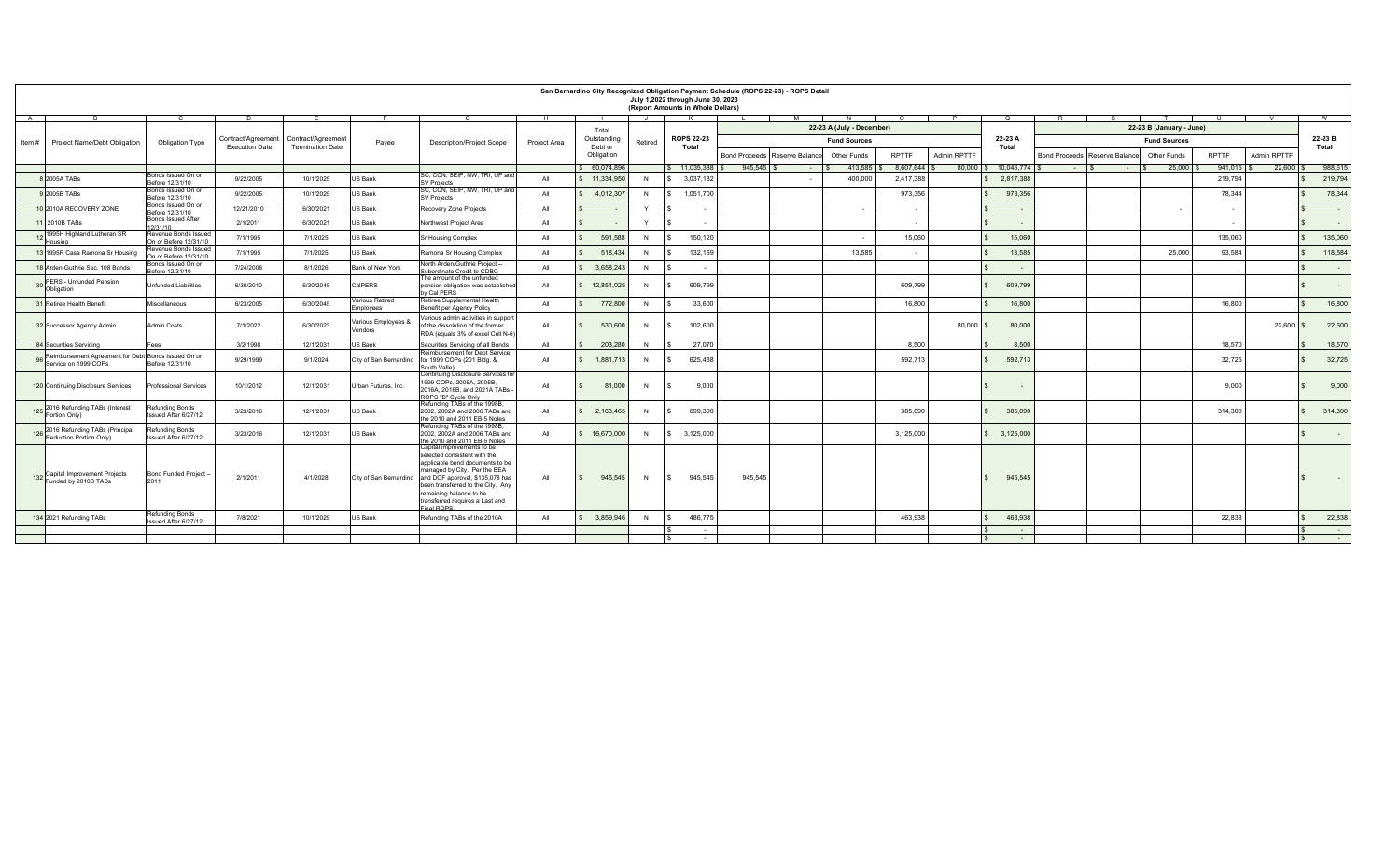|                                                                             |                                                                               |                       |                         |                                |                                                                                                                                                                                                                                                                                   |              |                       |              | July 1,2022 through June 30, 2023<br>(Report Amounts in Whole Dollars) |           | San Bernardino City Recognized Obligation Payment Schedule (ROPS 22-23) - ROPS Detail |                           |              |               |                        |                                    |                          |              |              |                         |  |
|-----------------------------------------------------------------------------|-------------------------------------------------------------------------------|-----------------------|-------------------------|--------------------------------|-----------------------------------------------------------------------------------------------------------------------------------------------------------------------------------------------------------------------------------------------------------------------------------|--------------|-----------------------|--------------|------------------------------------------------------------------------|-----------|---------------------------------------------------------------------------------------|---------------------------|--------------|---------------|------------------------|------------------------------------|--------------------------|--------------|--------------|-------------------------|--|
| A                                                                           |                                                                               |                       |                         |                                |                                                                                                                                                                                                                                                                                   | н.           |                       | - 11         | K .                                                                    |           | M                                                                                     |                           |              |               |                        |                                    |                          |              |              | <b>W</b>                |  |
|                                                                             |                                                                               |                       |                         |                                |                                                                                                                                                                                                                                                                                   |              | Total                 |              |                                                                        |           |                                                                                       | 22-23 A (July - December) |              |               |                        |                                    | 22-23 B (January - June) |              |              |                         |  |
| Project Name/Debt Obligation<br>Obligation Type<br>Item #                   |                                                                               | Contract/Agreement    | Contract/Agreemen       | Payee                          | <b>Description/Project Scope</b>                                                                                                                                                                                                                                                  | Project Area | Outstanding           | Retired      | <b>ROPS 22-23</b>                                                      |           |                                                                                       | <b>Fund Sources</b>       |              |               | 22-23 A                | <b>Fund Sources</b>                |                          |              |              | 22-23 B                 |  |
|                                                                             |                                                                               | <b>Execution Date</b> | <b>Termination Date</b> |                                |                                                                                                                                                                                                                                                                                   |              | Debt or<br>Obligation |              | Total                                                                  |           | <b>Bond Proceeds</b><br>Reserve Balance                                               | Other Funds               | <b>RPTTF</b> | Admin RPTTF   | Total                  | Bond Proceeds Reserve Balance      | Other Funds              | <b>RPTTF</b> | Admin RPTTF  | Total                   |  |
|                                                                             |                                                                               |                       |                         |                                |                                                                                                                                                                                                                                                                                   |              | \$ 60.074.896         |              | \$ 11,035,388                                                          |           | $945.545$ \$<br>$\sim 100$                                                            | 413.585                   | 8.607.644    |               | 80,000 \$ 10,046,774   | $-1$ s<br><b>Contract Contract</b> | 25,000                   | 941.015      | 22,600       | 988,615                 |  |
| 8 2005A TABs                                                                | Bonds Issued On or<br>Before 12/31/10                                         | 9/22/2005             | 10/1/2025               | US Bank                        | SC, CCN, SEIP, NW, TRI, UP and<br><b>SV Projects</b>                                                                                                                                                                                                                              | All          | 11.334.95             | $\mathsf{N}$ |                                                                        | 3.037.182 | $\overline{\phantom{a}}$                                                              | 400.000                   | 2,417,388    |               | 2.817.388              |                                    |                          | 219,794      |              | 219,794                 |  |
| 9 2005B TABs                                                                | Bonds Issued On or                                                            | 9/22/2005             | 10/1/2025               | US Bank                        | SC, CCN, SEIP, NW, TRI, UP and<br><b>SV Projects</b>                                                                                                                                                                                                                              | All          | 4,012,307             | N            |                                                                        | 1.051.700 |                                                                                       |                           | 973,356      |               | 973,356                |                                    |                          | 78.344       |              | 78,344                  |  |
| 10 2010A RECOVERY ZONE                                                      | Before 12/31/10<br>Bonds Issued On or                                         | 12/21/2010            | 6/30/2021               | US Bank                        | Recovery Zone Projects                                                                                                                                                                                                                                                            | All          |                       | $\mathsf{Y}$ |                                                                        | ٠.        |                                                                                       |                           |              |               |                        |                                    |                          |              |              | $\sim$                  |  |
| 11 2010B TABs                                                               | Before 12/31/10<br><b>Bonds Issued After</b><br>12/31/10                      | 2/1/2011              | 6/30/2021               | US Bank                        | Northwest Project Area                                                                                                                                                                                                                                                            | All          |                       | $\mathsf{v}$ |                                                                        | . .       |                                                                                       |                           |              |               |                        |                                    |                          |              |              | $\sim$                  |  |
| 1995H Highland Lutheran SR                                                  | Revenue Bonds Issued                                                          | 7/1/1995              | 7/1/2025                | US Bank                        | <b>Sr Housing Complex</b>                                                                                                                                                                                                                                                         | All          | 591.588               | N            |                                                                        | 150,120   |                                                                                       | $\sim$                    | 15,060       |               | 15,060                 |                                    |                          | 135.060      |              | 135,060                 |  |
| Housing<br>13 1995R Casa Ramona Sr Housing                                  | On or Before 12/31/10<br><b>Revenue Bonds Issued</b><br>In or Before 12/31/10 | 7/1/1995              | 7/1/2025                | US Bank                        | Ramona Sr Housing Complex                                                                                                                                                                                                                                                         | All          | 518,434               | N            |                                                                        | 132,169   |                                                                                       | 13,585                    | $\sim$       |               | 13,585                 |                                    | 25,000                   | 93,584       |              | 118,584                 |  |
| 18 Arden-Guthrie Sec. 108 Bonds                                             | Bonds Issued On or<br>Before 12/31/10                                         | 7/24/2006             | 8/1/2026                | Bank of New York               | North Arden/Guthrie Project --<br>Subordinate Credit to CDBG                                                                                                                                                                                                                      | All          | 3,658,243             | N            |                                                                        | ٠.        |                                                                                       |                           |              |               |                        |                                    |                          |              |              | $\sim$                  |  |
| PERS - Unfunded Pension<br>Obligation                                       | <b>Unfunded Liabilities</b>                                                   | 6/30/2010             | 6/30/2045               | CalPERS                        | he amount of the unfunded<br>pension obligation was established                                                                                                                                                                                                                   | All          | 12.851.025            | N            |                                                                        | 609,799   |                                                                                       |                           | 609.799      |               | 609,799                |                                    |                          |              |              |                         |  |
| 31 Retiree Health Benefit                                                   | Miscellaneous                                                                 | 6/23/2005             | 6/30/2045               | Various Retired                | y Cal PERS<br>Retiree Supplemental Health                                                                                                                                                                                                                                         | All          | 772,800               | $\mathsf{N}$ |                                                                        | 33,600    |                                                                                       |                           | 16,800       |               | 16,800                 |                                    |                          | 16,800       |              | 16,800                  |  |
|                                                                             |                                                                               |                       |                         | Employees                      | Benefit per Agency Policy<br>Various admin activities in support                                                                                                                                                                                                                  |              |                       |              |                                                                        |           |                                                                                       |                           |              |               |                        |                                    |                          |              |              |                         |  |
| 32 Successor Agency Admin.                                                  | <b>Admin Costs</b>                                                            | 7/1/2022              | 6/30/2023               | Various Employees &<br>Vendors | of the dissolution of the former<br>RDA (equals 3% of excel Cell N-6)                                                                                                                                                                                                             | All          | 530,600               | N            | -S                                                                     | 102,600   |                                                                                       |                           |              | $80.000$ \ \$ | 80,000                 |                                    |                          |              | $22.600$ \$  | 22,600                  |  |
| 84 Securities Servicing                                                     | Fees                                                                          | 3/2/1998              | 12/1/2031               | US Bank                        | Securities Servicing of all Bonds                                                                                                                                                                                                                                                 | All          | 203,280               | N            |                                                                        | 27,070    |                                                                                       |                           | 8.500        |               | 8.500                  |                                    |                          | 18.570       |              | 18,570                  |  |
| Reimbursement Agreement for Debt Bonds Issued On or<br>Service on 1999 COPs | Before 12/31/10                                                               | 9/29/1999             | 9/1/2024                | City of San Bernardino         | Reimbursement for Debt Service<br>for 1999 COPs (201 Bldg, &<br>South Valle)                                                                                                                                                                                                      | All          | 1.881.713             | N            |                                                                        | 625.438   |                                                                                       |                           | 592.713      |               | 592.713                |                                    |                          | 32.725       |              | 32,725                  |  |
| 120 Continuing Disclosure Services                                          | <b>Professional Services</b>                                                  | 10/1/2012             | 12/1/2031               | Urban Futures, Inc.            | Continuing Disclosure Services for<br>1999 COPs, 2005A, 2005B,<br>2016A, 2016B, and 2021A TABs -<br>ROPS "B" Cycle Only                                                                                                                                                           | All          | 81,000                | N            | -S.                                                                    | 9,000     |                                                                                       |                           |              |               |                        |                                    |                          | 9.000        |              | 9,000                   |  |
| 125 2016 Refunding TABs (Interest<br>Portion Only)                          | <b>Refunding Bonds</b><br>Issued After 6/27/12                                | 3/23/2016             | 12/1/2031               | US Bank                        | Refunding TABs of the 1998B.<br>2002, 2002A and 2006 TABs and<br>the 2010 and 2011 EB-5 Notes                                                                                                                                                                                     | All          | 2,163,465             | $\mathsf{N}$ |                                                                        | 699,390   |                                                                                       |                           | 385,090      |               | 385,090                |                                    |                          | 314,300      |              | 314,300<br>$\mathbf{s}$ |  |
| 2016 Refunding TABs (Principal<br>Reduction Portion Only)                   | <b>Refunding Bonds</b><br>Issued After 6/27/12                                | 3/23/2016             | 12/1/2031               | US Bank                        | Refunding TABs of the 1998B,<br>2002, 2002A and 2006 TABs and<br>the 2010 and 2011 EB-5 Notes                                                                                                                                                                                     | All          | 16.670.000            | N            | $\mathbf{s}$                                                           | 3.125.000 |                                                                                       |                           | 3.125.000    |               | 3,125,000              |                                    |                          |              |              |                         |  |
| 132 Capital Improvement Projects<br>Funded by 2010B TABs                    | <b>Bond Funded Project</b><br>2011                                            | 2/1/2011              | 4/1/2028                | City of San Bernardino         | Capital improvements to be<br>selected consistent with the<br>applicable bond documents to be<br>managed by City. Per the BEA<br>and DOF approval, \$135,078 has<br>been transferred to the City. Any<br>remaining balance to be<br>transferred requires a Last and<br>inal ROPS. | All          | 945,545               | N            | l s                                                                    | 945,545   | 945,545                                                                               |                           |              |               | 945,545                |                                    |                          |              |              | $\sim$                  |  |
| 134 2021 Refunding TABs                                                     | <b>Refunding Bonds</b><br>Issued After 6/27/12                                | 7/8/2021              | 10/1/2029               | US Bank                        | Refunding TABs of the 2010A                                                                                                                                                                                                                                                       | All          | 3.859.946             | $\mathsf{N}$ |                                                                        | 486,775   |                                                                                       |                           | 463.938      |               | 463.938                |                                    |                          | 22.838       |              | 22,838                  |  |
|                                                                             |                                                                               |                       |                         |                                |                                                                                                                                                                                                                                                                                   |              |                       |              | -S                                                                     | $\sim$    |                                                                                       |                           |              |               | $\mathbf{s}$<br>$\sim$ |                                    |                          |              | $\mathbf{s}$ | $\sim$                  |  |
|                                                                             |                                                                               |                       |                         |                                |                                                                                                                                                                                                                                                                                   |              |                       |              |                                                                        | $\sim$    |                                                                                       |                           |              |               | $\sqrt{s}$<br>$\sim$   |                                    |                          |              | $\mathbf{s}$ | $\sim$                  |  |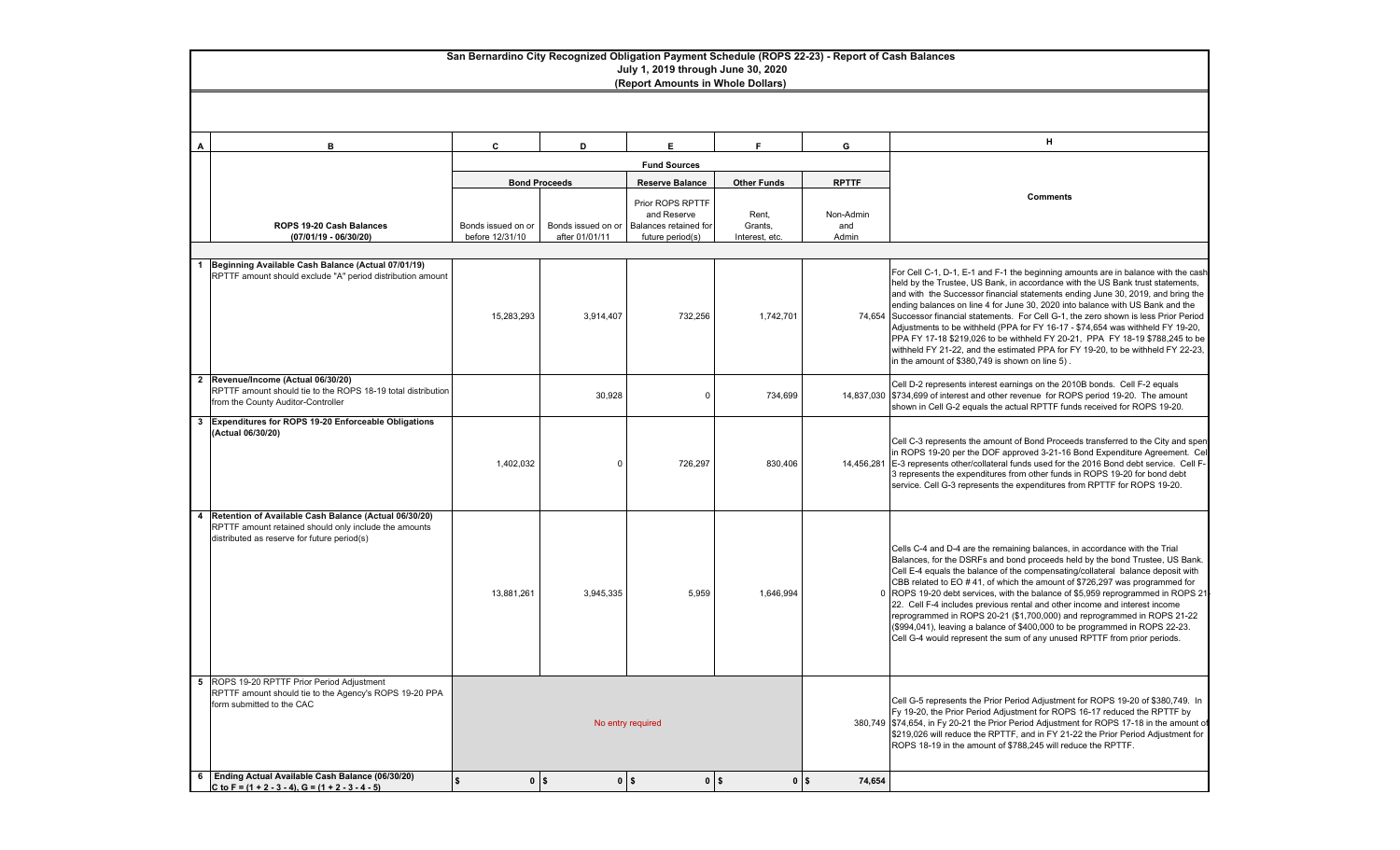#### **San Bernardino City Recognized Obligation Payment Schedule (ROPS 22-23) - Report of Cash Balances July 1, 2019 through June 30, 2020**

**(Report Amounts in Whole Dollars)**

| A              | B                                                                                                                                                             | C                    | D                    | E.                              | F                  | G                        | Н.                                                                                                                                                                                                                                                                                                                                                                                                                                                                                                                                                                                                                                                                                                                                 |  |  |  |
|----------------|---------------------------------------------------------------------------------------------------------------------------------------------------------------|----------------------|----------------------|---------------------------------|--------------------|--------------------------|------------------------------------------------------------------------------------------------------------------------------------------------------------------------------------------------------------------------------------------------------------------------------------------------------------------------------------------------------------------------------------------------------------------------------------------------------------------------------------------------------------------------------------------------------------------------------------------------------------------------------------------------------------------------------------------------------------------------------------|--|--|--|
|                |                                                                                                                                                               |                      |                      | <b>Fund Sources</b>             |                    |                          |                                                                                                                                                                                                                                                                                                                                                                                                                                                                                                                                                                                                                                                                                                                                    |  |  |  |
|                |                                                                                                                                                               |                      | <b>Bond Proceeds</b> | <b>Reserve Balance</b>          | <b>Other Funds</b> | <b>RPTTF</b>             |                                                                                                                                                                                                                                                                                                                                                                                                                                                                                                                                                                                                                                                                                                                                    |  |  |  |
|                |                                                                                                                                                               |                      |                      |                                 |                    |                          | <b>Comments</b>                                                                                                                                                                                                                                                                                                                                                                                                                                                                                                                                                                                                                                                                                                                    |  |  |  |
|                |                                                                                                                                                               |                      |                      | Prior ROPS RPTTF<br>and Reserve |                    |                          |                                                                                                                                                                                                                                                                                                                                                                                                                                                                                                                                                                                                                                                                                                                                    |  |  |  |
|                | ROPS 19-20 Cash Balances                                                                                                                                      | Bonds issued on or   | Bonds issued on or   | Balances retained for           | Rent,<br>Grants,   | Non-Admin<br>and         |                                                                                                                                                                                                                                                                                                                                                                                                                                                                                                                                                                                                                                                                                                                                    |  |  |  |
|                | (07/01/19 - 06/30/20)                                                                                                                                         | before 12/31/10      | after 01/01/11       | future period(s)                | Interest, etc.     | Admin                    |                                                                                                                                                                                                                                                                                                                                                                                                                                                                                                                                                                                                                                                                                                                                    |  |  |  |
|                |                                                                                                                                                               |                      |                      |                                 |                    |                          |                                                                                                                                                                                                                                                                                                                                                                                                                                                                                                                                                                                                                                                                                                                                    |  |  |  |
|                | Beginning Available Cash Balance (Actual 07/01/19)<br>RPTTF amount should exclude "A" period distribution amount                                              | 15,283,293           | 3,914,407            | 732,256                         | 1,742,701          |                          | For Cell C-1, D-1, E-1 and F-1 the beginning amounts are in balance with the cash<br>held by the Trustee, US Bank, in accordance with the US Bank trust statements,<br>and with the Successor financial statements ending June 30, 2019, and bring the<br>ending balances on line 4 for June 30, 2020 into balance with US Bank and the<br>74,654 Successor financial statements. For Cell G-1, the zero shown is less Prior Period<br>Adjustments to be withheld (PPA for FY 16-17 - \$74,654 was withheld FY 19-20,                                                                                                                                                                                                              |  |  |  |
|                |                                                                                                                                                               |                      |                      |                                 |                    |                          | PPA FY 17-18 \$219,026 to be withheld FY 20-21, PPA FY 18-19 \$788,245 to be<br>withheld FY 21-22, and the estimated PPA for FY 19-20, to be withheld FY 22-23,<br>in the amount of \$380,749 is shown on line 5).                                                                                                                                                                                                                                                                                                                                                                                                                                                                                                                 |  |  |  |
| $\overline{2}$ | Revenue/Income (Actual 06/30/20)<br>RPTTF amount should tie to the ROPS 18-19 total distribution<br>from the County Auditor-Controller                        |                      | 30,928               | $\Omega$                        | 734,699            |                          | Cell D-2 represents interest earnings on the 2010B bonds. Cell F-2 equals<br>14,837,030 \$734,699 of interest and other revenue for ROPS period 19-20. The amount<br>shown in Cell G-2 equals the actual RPTTF funds received for ROPS 19-20.                                                                                                                                                                                                                                                                                                                                                                                                                                                                                      |  |  |  |
| 3              | Expenditures for ROPS 19-20 Enforceable Obligations<br>(Actual 06/30/20)                                                                                      | 1,402,032            | $\Omega$             | 726,297                         | 830,406            |                          | Cell C-3 represents the amount of Bond Proceeds transferred to the City and spen<br>in ROPS 19-20 per the DOF approved 3-21-16 Bond Expenditure Agreement. Cel<br>14,456,281 E-3 represents other/collateral funds used for the 2016 Bond debt service. Cell F-<br>3 represents the expenditures from other funds in ROPS 19-20 for bond debt<br>service. Cell G-3 represents the expenditures from RPTTF for ROPS 19-20.                                                                                                                                                                                                                                                                                                          |  |  |  |
| 4              | Retention of Available Cash Balance (Actual 06/30/20)<br>RPTTF amount retained should only include the amounts<br>distributed as reserve for future period(s) | 13,881,261           | 3,945,335            | 5,959                           | 1,646,994          |                          | Cells C-4 and D-4 are the remaining balances, in accordance with the Trial<br>Balances, for the DSRFs and bond proceeds held by the bond Trustee, US Bank.<br>Cell E-4 equals the balance of the compensating/collateral balance deposit with<br>CBB related to EO #41, of which the amount of \$726,297 was programmed for<br>0 ROPS 19-20 debt services, with the balance of \$5,959 reprogrammed in ROPS 21<br>22. Cell F-4 includes previous rental and other income and interest income<br>reprogrammed in ROPS 20-21 (\$1,700,000) and reprogrammed in ROPS 21-22<br>(\$994,041), leaving a balance of \$400,000 to be programmed in ROPS 22-23.<br>Cell G-4 would represent the sum of any unused RPTTF from prior periods. |  |  |  |
|                | 5 ROPS 19-20 RPTTF Prior Period Adjustment<br>RPTTF amount should tie to the Agency's ROPS 19-20 PPA<br>form submitted to the CAC                             |                      |                      | No entry required               |                    |                          | Cell G-5 represents the Prior Period Adjustment for ROPS 19-20 of \$380,749. In<br>Fy 19-20, the Prior Period Adjustment for ROPS 16-17 reduced the RPTTF by<br>380,749   \$74,654, in Fy 20-21 the Prior Period Adjustment for ROPS 17-18 in the amount of<br>\$219,026 will reduce the RPTTF, and in FY 21-22 the Prior Period Adjustment for<br>ROPS 18-19 in the amount of \$788,245 will reduce the RPTTF.                                                                                                                                                                                                                                                                                                                    |  |  |  |
| 6              | Ending Actual Available Cash Balance (06/30/20)                                                                                                               | \$<br>0 <sup>1</sup> |                      | $0$ $\sqrt{5}$<br>$0$   \$      |                    | 0 <sup>5</sup><br>74,654 |                                                                                                                                                                                                                                                                                                                                                                                                                                                                                                                                                                                                                                                                                                                                    |  |  |  |
|                | C to F = $(1 + 2 - 3 - 4)$ , G = $(1 + 2 - 3 - 4 - 5)$                                                                                                        |                      |                      |                                 |                    |                          |                                                                                                                                                                                                                                                                                                                                                                                                                                                                                                                                                                                                                                                                                                                                    |  |  |  |